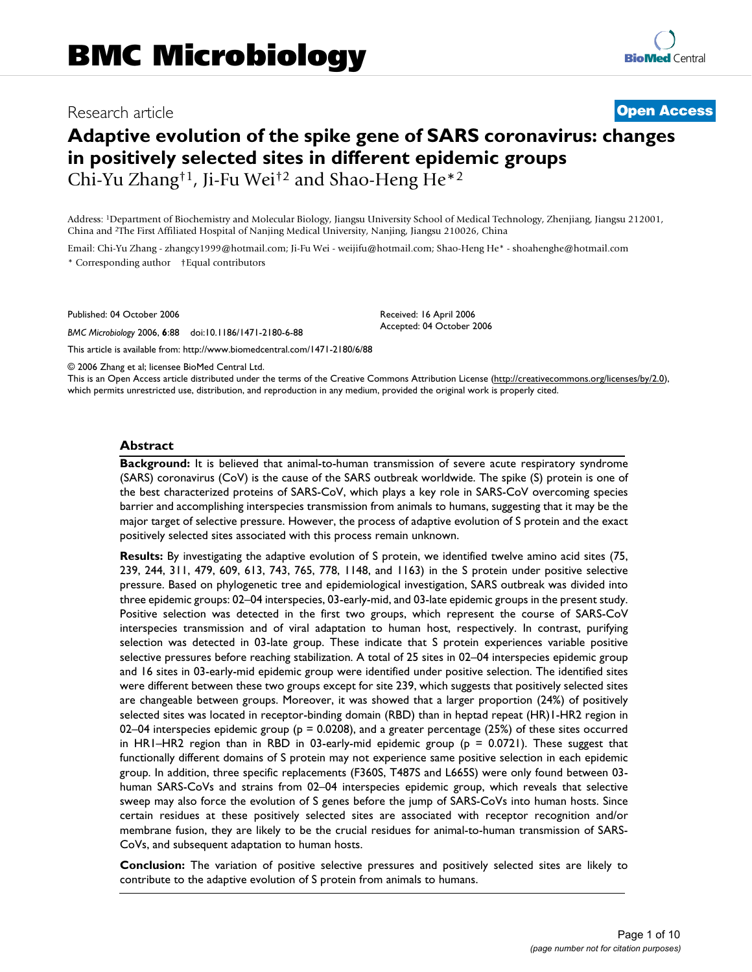# Research article **[Open Access](http://www.biomedcentral.com/info/about/charter/)**

# **Adaptive evolution of the spike gene of SARS coronavirus: changes in positively selected sites in different epidemic groups** Chi-Yu Zhang†1, Ji-Fu Wei†2 and Shao-Heng He\*2

Address: 1Department of Biochemistry and Molecular Biology, Jiangsu University School of Medical Technology, Zhenjiang, Jiangsu 212001, China and 2The First Affiliated Hospital of Nanjing Medical University, Nanjing, Jiangsu 210026, China

Email: Chi-Yu Zhang - zhangcy1999@hotmail.com; Ji-Fu Wei - weijifu@hotmail.com; Shao-Heng He\* - shoahenghe@hotmail.com \* Corresponding author †Equal contributors

Published: 04 October 2006

*BMC Microbiology* 2006, **6**:88 doi:10.1186/1471-2180-6-88

[This article is available from: http://www.biomedcentral.com/1471-2180/6/88](http://www.biomedcentral.com/1471-2180/6/88)

© 2006 Zhang et al; licensee BioMed Central Ltd.

This is an Open Access article distributed under the terms of the Creative Commons Attribution License [\(http://creativecommons.org/licenses/by/2.0\)](http://creativecommons.org/licenses/by/2.0), which permits unrestricted use, distribution, and reproduction in any medium, provided the original work is properly cited.

Received: 16 April 2006 Accepted: 04 October 2006

#### **Abstract**

**Background:** It is believed that animal-to-human transmission of severe acute respiratory syndrome (SARS) coronavirus (CoV) is the cause of the SARS outbreak worldwide. The spike (S) protein is one of the best characterized proteins of SARS-CoV, which plays a key role in SARS-CoV overcoming species barrier and accomplishing interspecies transmission from animals to humans, suggesting that it may be the major target of selective pressure. However, the process of adaptive evolution of S protein and the exact positively selected sites associated with this process remain unknown.

**Results:** By investigating the adaptive evolution of S protein, we identified twelve amino acid sites (75, 239, 244, 311, 479, 609, 613, 743, 765, 778, 1148, and 1163) in the S protein under positive selective pressure. Based on phylogenetic tree and epidemiological investigation, SARS outbreak was divided into three epidemic groups: 02–04 interspecies, 03-early-mid, and 03-late epidemic groups in the present study. Positive selection was detected in the first two groups, which represent the course of SARS-CoV interspecies transmission and of viral adaptation to human host, respectively. In contrast, purifying selection was detected in 03-late group. These indicate that S protein experiences variable positive selective pressures before reaching stabilization. A total of 25 sites in 02–04 interspecies epidemic group and 16 sites in 03-early-mid epidemic group were identified under positive selection. The identified sites were different between these two groups except for site 239, which suggests that positively selected sites are changeable between groups. Moreover, it was showed that a larger proportion (24%) of positively selected sites was located in receptor-binding domain (RBD) than in heptad repeat (HR)1-HR2 region in 02–04 interspecies epidemic group ( $p = 0.0208$ ), and a greater percentage (25%) of these sites occurred in HR1–HR2 region than in RBD in 03-early-mid epidemic group (p = 0.0721). These suggest that functionally different domains of S protein may not experience same positive selection in each epidemic group. In addition, three specific replacements (F360S, T487S and L665S) were only found between 03 human SARS-CoVs and strains from 02–04 interspecies epidemic group, which reveals that selective sweep may also force the evolution of S genes before the jump of SARS-CoVs into human hosts. Since certain residues at these positively selected sites are associated with receptor recognition and/or membrane fusion, they are likely to be the crucial residues for animal-to-human transmission of SARS-CoVs, and subsequent adaptation to human hosts.

**Conclusion:** The variation of positive selective pressures and positively selected sites are likely to contribute to the adaptive evolution of S protein from animals to humans.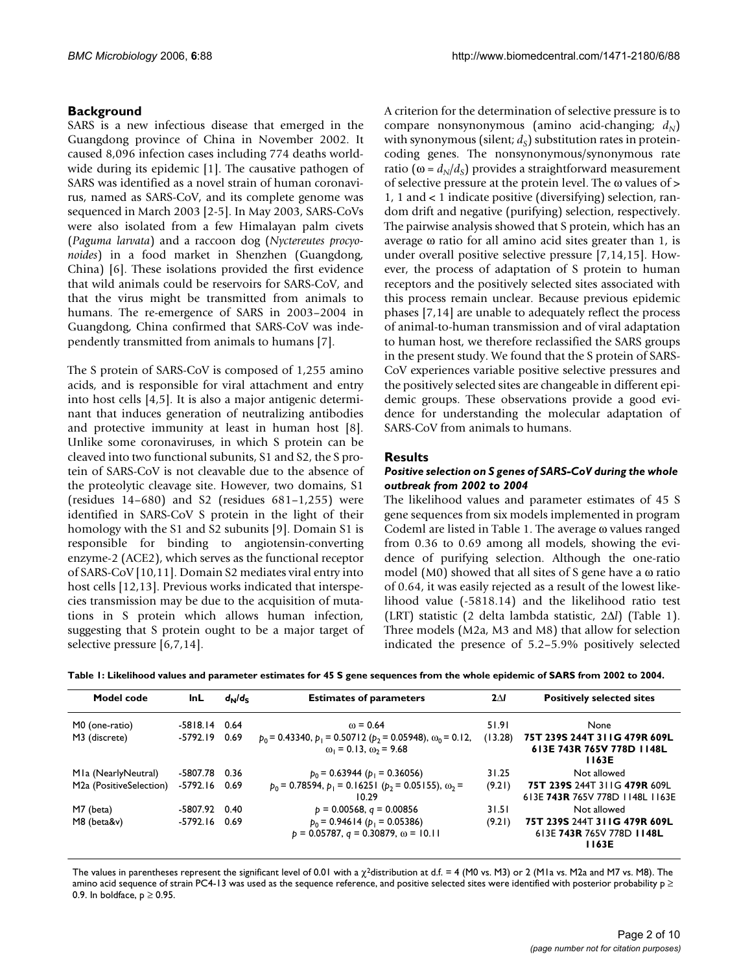# **Background**

SARS is a new infectious disease that emerged in the Guangdong province of China in November 2002. It caused 8,096 infection cases including 774 deaths worldwide during its epidemic [1]. The causative pathogen of SARS was identified as a novel strain of human coronavirus, named as SARS-CoV, and its complete genome was sequenced in March 2003 [2-5]. In May 2003, SARS-CoVs were also isolated from a few Himalayan palm civets (*Paguma larvata*) and a raccoon dog (*Nyctereutes procyonoides*) in a food market in Shenzhen (Guangdong, China) [6]. These isolations provided the first evidence that wild animals could be reservoirs for SARS-CoV, and that the virus might be transmitted from animals to humans. The re-emergence of SARS in 2003–2004 in Guangdong, China confirmed that SARS-CoV was independently transmitted from animals to humans [7].

The S protein of SARS-CoV is composed of 1,255 amino acids, and is responsible for viral attachment and entry into host cells [4,5]. It is also a major antigenic determinant that induces generation of neutralizing antibodies and protective immunity at least in human host [8]. Unlike some coronaviruses, in which S protein can be cleaved into two functional subunits, S1 and S2, the S protein of SARS-CoV is not cleavable due to the absence of the proteolytic cleavage site. However, two domains, S1 (residues 14–680) and S2 (residues 681–1,255) were identified in SARS-CoV S protein in the light of their homology with the S1 and S2 subunits [9]. Domain S1 is responsible for binding to angiotensin-converting enzyme-2 (ACE2), which serves as the functional receptor of SARS-CoV [10,11]. Domain S2 mediates viral entry into host cells [12,13]. Previous works indicated that interspecies transmission may be due to the acquisition of mutations in S protein which allows human infection, suggesting that S protein ought to be a major target of selective pressure [6,7,14].

A criterion for the determination of selective pressure is to compare nonsynonymous (amino acid-changing;  $d_N$ ) with synonymous (silent;  $d<sub>S</sub>$ ) substitution rates in proteincoding genes. The nonsynonymous/synonymous rate ratio ( $\omega = d_N/d_S$ ) provides a straightforward measurement of selective pressure at the protein level. The ω values of > 1, 1 and < 1 indicate positive (diversifying) selection, random drift and negative (purifying) selection, respectively. The pairwise analysis showed that S protein, which has an average ω ratio for all amino acid sites greater than 1, is under overall positive selective pressure [7,14,15]. However, the process of adaptation of S protein to human receptors and the positively selected sites associated with this process remain unclear. Because previous epidemic phases [7,14] are unable to adequately reflect the process of animal-to-human transmission and of viral adaptation to human host, we therefore reclassified the SARS groups in the present study. We found that the S protein of SARS-CoV experiences variable positive selective pressures and the positively selected sites are changeable in different epidemic groups. These observations provide a good evidence for understanding the molecular adaptation of SARS-CoV from animals to humans.

# **Results**

#### *Positive selection on S genes of SARS-CoV during the whole outbreak from 2002 to 2004*

The likelihood values and parameter estimates of 45 S gene sequences from six models implemented in program Codeml are listed in Table 1. The average ω values ranged from 0.36 to 0.69 among all models, showing the evidence of purifying selection. Although the one-ratio model (M0) showed that all sites of S gene have a ω ratio of 0.64, it was easily rejected as a result of the lowest likelihood value (-5818.14) and the likelihood ratio test (LRT) statistic (2 delta lambda statistic, 2Δ*l*) (Table 1). Three models (M2a, M3 and M8) that allow for selection indicated the presence of 5.2–5.9% positively selected

| Table 1: Likelihood values and parameter estimates for 45 S gene sequences from the whole epidemic of SARS from 2002 to 2004. |  |  |
|-------------------------------------------------------------------------------------------------------------------------------|--|--|
|                                                                                                                               |  |  |

| Model code                           | InL             | $d_{\rm N}/d_{\rm c}$ | <b>Estimates of parameters</b>                                                                                  | $2\Delta I$ | <b>Positively selected sites</b>                                   |
|--------------------------------------|-----------------|-----------------------|-----------------------------------------------------------------------------------------------------------------|-------------|--------------------------------------------------------------------|
| M0 (one-ratio)                       | $-5818.14$ 0.64 |                       | $\omega = 0.64$                                                                                                 | 51.91       | None                                                               |
| M3 (discrete)                        | -5792.19 0.69   |                       | $p_0$ = 0.43340, $p_1$ = 0.50712 ( $p_2$ = 0.05948), $\omega_0$ = 0.12,<br>$\omega_1$ = 0.13, $\omega_2$ = 9.68 | (13.28)     | 75T 239S 244T 311G 479R 609L<br>613E 743R 765V 778D 1148L<br>1163E |
| MIa (NearlyNeutral)                  | -5807.78 0.36   |                       | $p_0 = 0.63944$ ( $p_1 = 0.36056$ )                                                                             | 31.25       | Not allowed                                                        |
| M <sub>2</sub> a (PositiveSelection) | $-5792.16$ 0.69 |                       | $p_0 = 0.78594$ , $p_1 = 0.16251$ ( $p_2 = 0.05155$ ), $\omega_2 =$<br>10.29                                    | (9.21)      | 75T 239S 244T 311G 479R 609L<br>613E 743R 765V 778D 1148L 1163E    |
| M7 (beta)                            | -5807.92 0.40   |                       | $p = 0.00568$ , $q = 0.00856$                                                                                   | 31.51       | Not allowed                                                        |
| M8 (beta&v)                          | -5792.16        | 0.69                  | $p_0$ = 0.94614 ( $p_1$ = 0.05386)<br>$p = 0.05787$ , $q = 0.30879$ , $\omega = 10.11$                          | (9.21)      | 75T 239S 244T 311G 479R 609L<br>613E 743R 765V 778D 1148L<br>1163E |

The values in parentheses represent the significant level of 0.01 with a  $\chi^2$ distribution at d.f. = 4 (M0 vs. M3) or 2 (M1a vs. M2a and M7 vs. M8). The amino acid sequence of strain PC4-13 was used as the sequence reference, and positive selected sites were identified with posterior probability  $p \ge$ 0.9. In boldface,  $p \ge 0.95$ .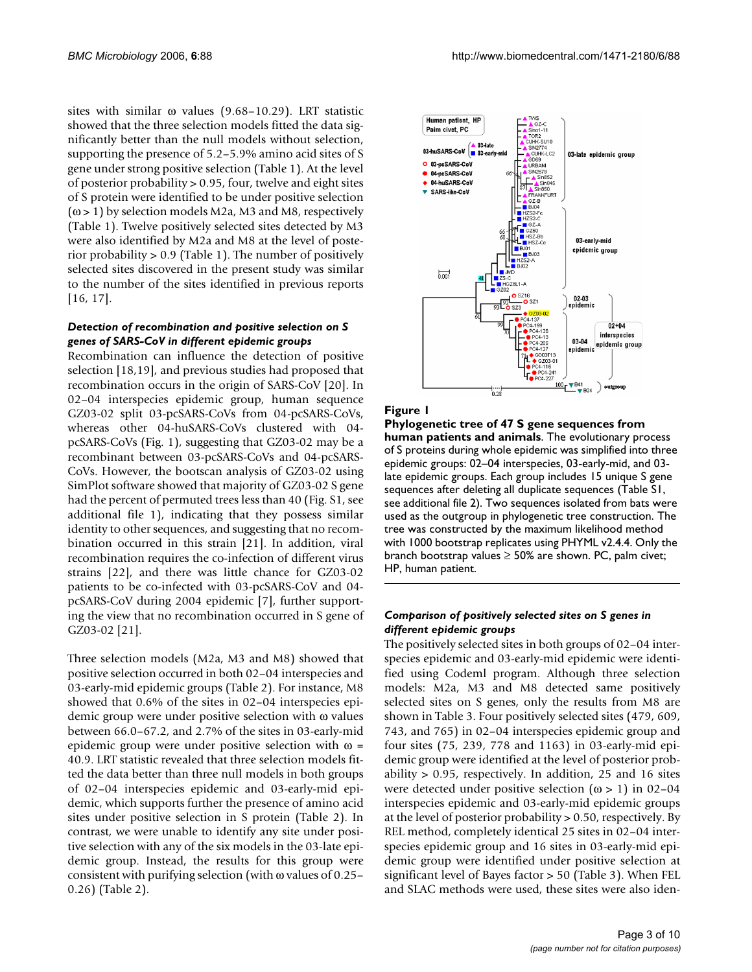sites with similar ω values (9.68–10.29). LRT statistic showed that the three selection models fitted the data significantly better than the null models without selection, supporting the presence of 5.2–5.9% amino acid sites of S gene under strong positive selection (Table 1). At the level of posterior probability > 0.95, four, twelve and eight sites of S protein were identified to be under positive selection  $(\omega > 1)$  by selection models M2a, M3 and M8, respectively (Table 1). Twelve positively selected sites detected by M3 were also identified by M2a and M8 at the level of posterior probability > 0.9 (Table 1). The number of positively selected sites discovered in the present study was similar to the number of the sites identified in previous reports [16, 17].

#### *Detection of recombination and positive selection on S genes of SARS-CoV in different epidemic groups*

Recombination can influence the detection of positive selection [18,19], and previous studies had proposed that recombination occurs in the origin of SARS-CoV [20]. In 02–04 interspecies epidemic group, human sequence GZ03-02 split 03-pcSARS-CoVs from 04-pcSARS-CoVs, whereas other 04-huSARS-CoVs clustered with 04 pcSARS-CoVs (Fig. 1), suggesting that GZ03-02 may be a recombinant between 03-pcSARS-CoVs and 04-pcSARS-CoVs. However, the bootscan analysis of GZ03-02 using SimPlot software showed that majority of GZ03-02 S gene had the percent of permuted trees less than 40 (Fig. S1, see additional file 1), indicating that they possess similar identity to other sequences, and suggesting that no recombination occurred in this strain [21]. In addition, viral recombination requires the co-infection of different virus strains [22], and there was little chance for GZ03-02 patients to be co-infected with 03-pcSARS-CoV and 04 pcSARS-CoV during 2004 epidemic [7], further supporting the view that no recombination occurred in S gene of GZ03-02 [21].

Three selection models (M2a, M3 and M8) showed that positive selection occurred in both 02–04 interspecies and 03-early-mid epidemic groups (Table 2). For instance, M8 showed that 0.6% of the sites in 02–04 interspecies epidemic group were under positive selection with ω values between 66.0–67.2, and 2.7% of the sites in 03-early-mid epidemic group were under positive selection with  $\omega$  = 40.9. LRT statistic revealed that three selection models fitted the data better than three null models in both groups of 02–04 interspecies epidemic and 03-early-mid epidemic, which supports further the presence of amino acid sites under positive selection in S protein (Table 2). In contrast, we were unable to identify any site under positive selection with any of the six models in the 03-late epidemic group. Instead, the results for this group were consistent with purifying selection (with ω values of 0.25– 0.26) (Table 2).



#### **Figure 1**

**Phylogenetic tree of 47 S gene sequences from human patients and animals**. The evolutionary process of S proteins during whole epidemic was simplified into three epidemic groups: 02–04 interspecies, 03-early-mid, and 03 late epidemic groups. Each group includes 15 unique S gene sequences after deleting all duplicate sequences (Table S1, see additional file 2). Two sequences isolated from bats were used as the outgroup in phylogenetic tree construction. The tree was constructed by the maximum likelihood method with 1000 bootstrap replicates using PHYML v2.4.4. Only the branch bootstrap values  $\geq$  50% are shown. PC, palm civet; HP, human patient.

#### *Comparison of positively selected sites on S genes in different epidemic groups*

The positively selected sites in both groups of 02–04 interspecies epidemic and 03-early-mid epidemic were identified using Codeml program. Although three selection models: M2a, M3 and M8 detected same positively selected sites on S genes, only the results from M8 are shown in Table 3. Four positively selected sites (479, 609, 743, and 765) in 02–04 interspecies epidemic group and four sites (75, 239, 778 and 1163) in 03-early-mid epidemic group were identified at the level of posterior probability > 0.95, respectively. In addition, 25 and 16 sites were detected under positive selection  $(\omega > 1)$  in 02–04 interspecies epidemic and 03-early-mid epidemic groups at the level of posterior probability > 0.50, respectively. By REL method, completely identical 25 sites in 02–04 interspecies epidemic group and 16 sites in 03-early-mid epidemic group were identified under positive selection at significant level of Bayes factor > 50 (Table 3). When FEL and SLAC methods were used, these sites were also iden-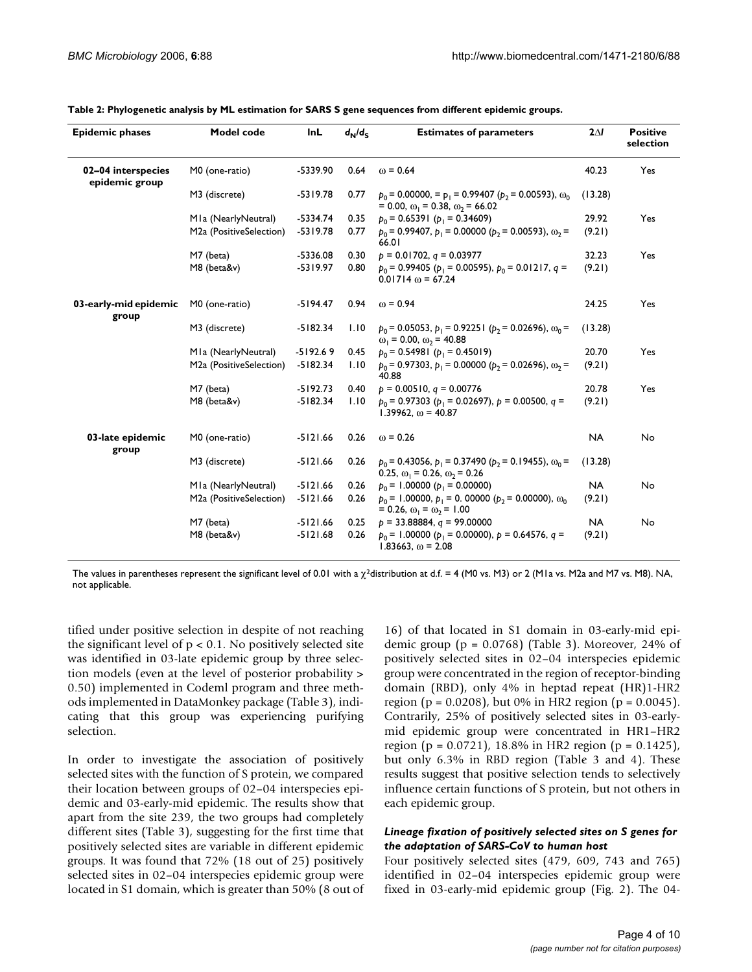| <b>Epidemic phases</b>               | Model code              | InL        | $d_N/d_S$ | <b>Estimates of parameters</b>                                                                                     | $2\Delta I$ | <b>Positive</b><br>selection |
|--------------------------------------|-------------------------|------------|-----------|--------------------------------------------------------------------------------------------------------------------|-------------|------------------------------|
| 02-04 interspecies<br>epidemic group | M0 (one-ratio)          | -5339.90   | 0.64      | $\omega = 0.64$                                                                                                    | 40.23       | Yes                          |
|                                      | M3 (discrete)           | $-5319.78$ | 0.77      | $p_0 = 0.00000$ , = $p_1 = 0.99407$ ( $p_2 = 0.00593$ ), $\omega_0$<br>$= 0.00, \omega_1 = 0.38, \omega_2 = 66.02$ | (13.28)     |                              |
|                                      | MIa (NearlyNeutral)     | $-5334.74$ | 0.35      | $p_0$ = 0.65391 ( $p_1$ = 0.34609)                                                                                 | 29.92       | Yes                          |
|                                      | M2a (PositiveSelection) | $-5319.78$ | 0.77      | $p_0$ = 0.99407, $p_1$ = 0.00000 ( $p_2$ = 0.00593), $\omega_2$ =<br>66.01                                         | (9.21)      |                              |
|                                      | M7 (beta)               | -5336.08   | 0.30      | $p = 0.01702$ , $q = 0.03977$                                                                                      | 32.23       | Yes                          |
|                                      | M8 (beta&v)             | $-5319.97$ | 0.80      | $p_0$ = 0.99405 ( $p_1$ = 0.00595), $p_0$ = 0.01217, q =<br>$0.01714 \omega = 67.24$                               | (9.21)      |                              |
| 03-early-mid epidemic<br>group       | M0 (one-ratio)          | $-5194.47$ | 0.94      | $\omega = 0.94$                                                                                                    | 24.25       | Yes                          |
|                                      | M3 (discrete)           | $-5182.34$ | 1.10      | $p_0 = 0.05053$ , $p_1 = 0.92251$ ( $p_2 = 0.02696$ ), $\omega_0 =$<br>$\omega_1$ = 0.00, $\omega_2$ = 40.88       | (13.28)     |                              |
|                                      | MIa (NearlyNeutral)     | $-5192.69$ | 0.45      | $p_0$ = 0.54981 ( $p_1$ = 0.45019)                                                                                 | 20.70       | Yes                          |
|                                      | M2a (PositiveSelection) | $-5182.34$ | 1.10      | $p_0 = 0.97303$ , $p_1 = 0.00000$ ( $p_2 = 0.02696$ ), $\omega_2 =$<br>40.88                                       | (9.21)      |                              |
|                                      | M7 (beta)               | $-5192.73$ | 0.40      | $p = 0.00510$ , $q = 0.00776$                                                                                      | 20.78       | Yes                          |
|                                      | M8 (beta&v)             | $-5182.34$ | 1.10      | $p_0$ = 0.97303 ( $p_1$ = 0.02697), $p$ = 0.00500, $q$ =<br>$1.39962, \omega = 40.87$                              | (9.21)      |                              |
| 03-late epidemic<br>group            | M0 (one-ratio)          | $-5121.66$ | 0.26      | $\omega$ = 0.26                                                                                                    | <b>NA</b>   | No                           |
|                                      | M3 (discrete)           | $-5121.66$ | 0.26      | $p_0 = 0.43056$ , $p_1 = 0.37490$ ( $p_2 = 0.19455$ ), $\omega_0 =$<br>0.25, $\omega_1$ = 0.26, $\omega_2$ = 0.26  | (13.28)     |                              |
|                                      | MIa (NearlyNeutral)     | $-5121.66$ | 0.26      | $p_0$ = 1.00000 ( $p_1$ = 0.00000)                                                                                 | <b>NA</b>   | No                           |
|                                      | M2a (PositiveSelection) | $-5121.66$ | 0.26      | $p_0 = 1.00000$ , $p_1 = 0.00000$ ( $p_2 = 0.00000$ ), $\omega_0$<br>$= 0.26, \omega_1 = \omega_2 = 1.00$          | (9.21)      |                              |
|                                      | M7 (beta)               | $-5121.66$ | 0.25      | $p = 33.88884$ , $q = 99.00000$                                                                                    | <b>NA</b>   | No                           |
|                                      | M8 (beta&v)             | $-5121.68$ | 0.26      | $p_0$ = 1.00000 ( $p_1$ = 0.00000), $p$ = 0.64576, q =<br>$1.83663, \omega = 2.08$                                 | (9.21)      |                              |

**Table 2: Phylogenetic analysis by ML estimation for SARS S gene sequences from different epidemic groups.**

The values in parentheses represent the significant level of 0.01 with a  $\chi^2$ distribution at d.f. = 4 (M0 vs. M3) or 2 (M1a vs. M2a and M7 vs. M8). NA, not applicable.

tified under positive selection in despite of not reaching the significant level of  $p < 0.1$ . No positively selected site was identified in 03-late epidemic group by three selection models (even at the level of posterior probability > 0.50) implemented in Codeml program and three methods implemented in DataMonkey package (Table 3), indicating that this group was experiencing purifying selection.

In order to investigate the association of positively selected sites with the function of S protein, we compared their location between groups of 02–04 interspecies epidemic and 03-early-mid epidemic. The results show that apart from the site 239, the two groups had completely different sites (Table 3), suggesting for the first time that positively selected sites are variable in different epidemic groups. It was found that 72% (18 out of 25) positively selected sites in 02–04 interspecies epidemic group were located in S1 domain, which is greater than 50% (8 out of 16) of that located in S1 domain in 03-early-mid epidemic group ( $p = 0.0768$ ) (Table 3). Moreover, 24% of positively selected sites in 02–04 interspecies epidemic group were concentrated in the region of receptor-binding domain (RBD), only 4% in heptad repeat (HR)1-HR2 region ( $p = 0.0208$ ), but 0% in HR2 region ( $p = 0.0045$ ). Contrarily, 25% of positively selected sites in 03-earlymid epidemic group were concentrated in HR1–HR2 region (p = 0.0721), 18.8% in HR2 region (p = 0.1425), but only 6.3% in RBD region (Table 3 and 4). These results suggest that positive selection tends to selectively influence certain functions of S protein, but not others in each epidemic group.

#### *Lineage fixation of positively selected sites on S genes for the adaptation of SARS-CoV to human host*

Four positively selected sites (479, 609, 743 and 765) identified in 02–04 interspecies epidemic group were fixed in 03-early-mid epidemic group (Fig. 2). The 04-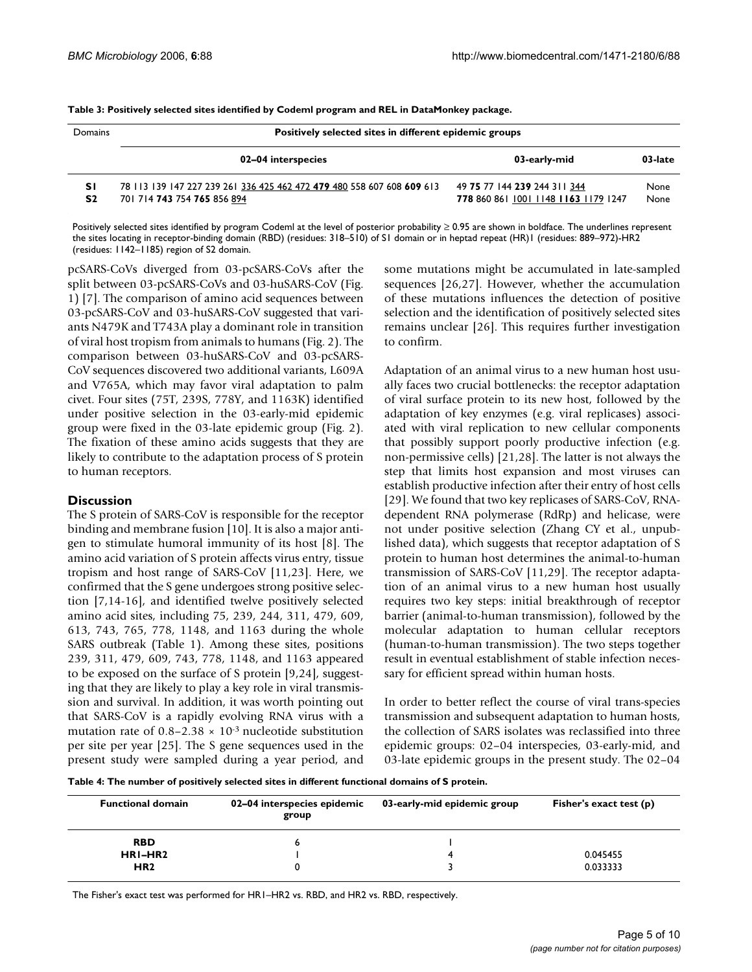| Domains              | Positively selected sites in different epidemic groups                                                |                                                                      |              |  |  |  |  |
|----------------------|-------------------------------------------------------------------------------------------------------|----------------------------------------------------------------------|--------------|--|--|--|--|
|                      | 02-04 interspecies                                                                                    | 03-early-mid                                                         | 03-late      |  |  |  |  |
| SΙ<br>S <sub>2</sub> | 78 113 139 147 227 239 261 336 425 462 472 479 480 558 607 608 609 613<br>701 714 743 754 765 856 894 | 49 75 77 144 239 244 311 344<br>778 860 861 1001 1148 1163 1179 1247 | None<br>None |  |  |  |  |

**Table 3: Positively selected sites identified by Codeml program and REL in DataMonkey package.**

Positively selected sites identified by program Codeml at the level of posterior probability ≥ 0.95 are shown in boldface. The underlines represent the sites locating in receptor-binding domain (RBD) (residues: 318–510) of S1 domain or in heptad repeat (HR)1 (residues: 889–972)-HR2 (residues: 1142–1185) region of S2 domain.

pcSARS-CoVs diverged from 03-pcSARS-CoVs after the split between 03-pcSARS-CoVs and 03-huSARS-CoV (Fig. 1) [7]. The comparison of amino acid sequences between 03-pcSARS-CoV and 03-huSARS-CoV suggested that variants N479K and T743A play a dominant role in transition of viral host tropism from animals to humans (Fig. 2). The comparison between 03-huSARS-CoV and 03-pcSARS-CoV sequences discovered two additional variants, L609A and V765A, which may favor viral adaptation to palm civet. Four sites (75T, 239S, 778Y, and 1163K) identified under positive selection in the 03-early-mid epidemic group were fixed in the 03-late epidemic group (Fig. 2). The fixation of these amino acids suggests that they are likely to contribute to the adaptation process of S protein to human receptors.

# **Discussion**

The S protein of SARS-CoV is responsible for the receptor binding and membrane fusion [10]. It is also a major antigen to stimulate humoral immunity of its host [8]. The amino acid variation of S protein affects virus entry, tissue tropism and host range of SARS-CoV [11,23]. Here, we confirmed that the S gene undergoes strong positive selection [7,14-16], and identified twelve positively selected amino acid sites, including 75, 239, 244, 311, 479, 609, 613, 743, 765, 778, 1148, and 1163 during the whole SARS outbreak (Table 1). Among these sites, positions 239, 311, 479, 609, 743, 778, 1148, and 1163 appeared to be exposed on the surface of S protein [9,24], suggesting that they are likely to play a key role in viral transmission and survival. In addition, it was worth pointing out that SARS-CoV is a rapidly evolving RNA virus with a mutation rate of  $0.8-2.38 \times 10^{-3}$  nucleotide substitution per site per year [25]. The S gene sequences used in the present study were sampled during a year period, and some mutations might be accumulated in late-sampled sequences [26,27]. However, whether the accumulation of these mutations influences the detection of positive selection and the identification of positively selected sites remains unclear [26]. This requires further investigation to confirm.

Adaptation of an animal virus to a new human host usually faces two crucial bottlenecks: the receptor adaptation of viral surface protein to its new host, followed by the adaptation of key enzymes (e.g. viral replicases) associated with viral replication to new cellular components that possibly support poorly productive infection (e.g. non-permissive cells) [21,28]. The latter is not always the step that limits host expansion and most viruses can establish productive infection after their entry of host cells [29]. We found that two key replicases of SARS-CoV, RNAdependent RNA polymerase (RdRp) and helicase, were not under positive selection (Zhang CY et al., unpublished data), which suggests that receptor adaptation of S protein to human host determines the animal-to-human transmission of SARS-CoV [11,29]. The receptor adaptation of an animal virus to a new human host usually requires two key steps: initial breakthrough of receptor barrier (animal-to-human transmission), followed by the molecular adaptation to human cellular receptors (human-to-human transmission). The two steps together result in eventual establishment of stable infection necessary for efficient spread within human hosts.

In order to better reflect the course of viral trans-species transmission and subsequent adaptation to human hosts, the collection of SARS isolates was reclassified into three epidemic groups: 02–04 interspecies, 03-early-mid, and 03-late epidemic groups in the present study. The 02–04

**Table 4: The number of positively selected sites in different functional domains of S protein.**

| <b>Functional domain</b> | 02-04 interspecies epidemic<br>group | 03-early-mid epidemic group | Fisher's exact test (p) |
|--------------------------|--------------------------------------|-----------------------------|-------------------------|
| <b>RBD</b>               | ь                                    |                             |                         |
| HRI-HR <sub>2</sub>      |                                      |                             | 0.045455                |
| HR <sub>2</sub>          |                                      |                             | 0.033333                |

The Fisher's exact test was performed for HR1–HR2 vs. RBD, and HR2 vs. RBD, respectively.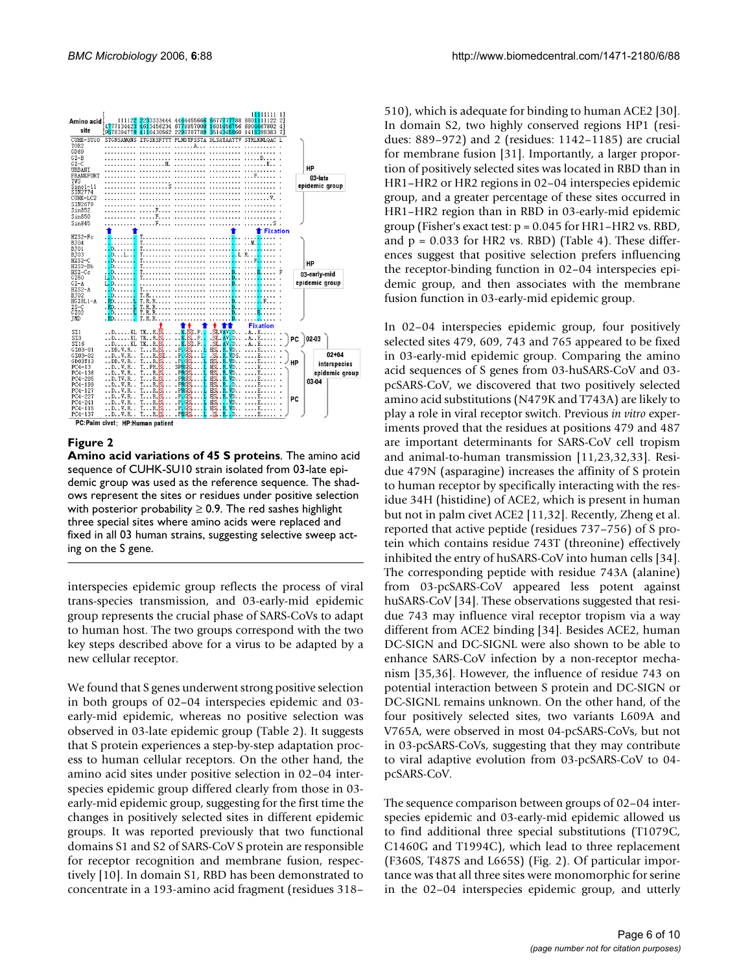

#### **Figure 2**

**Amino acid variations of 45 S proteins**. The amino acid sequence of CUHK-SU10 strain isolated from 03-late epidemic group was used as the reference sequence. The shadows represent the sites or residues under positive selection with posterior probability  $\geq$  0.9. The red sashes highlight three special sites where amino acids were replaced and fixed in all 03 human strains, suggesting selective sweep acting on the S gene.

interspecies epidemic group reflects the process of viral trans-species transmission, and 03-early-mid epidemic group represents the crucial phase of SARS-CoVs to adapt to human host. The two groups correspond with the two key steps described above for a virus to be adapted by a new cellular receptor.

We found that S genes underwent strong positive selection in both groups of 02–04 interspecies epidemic and 03 early-mid epidemic, whereas no positive selection was observed in 03-late epidemic group (Table 2). It suggests that S protein experiences a step-by-step adaptation process to human cellular receptors. On the other hand, the amino acid sites under positive selection in 02–04 interspecies epidemic group differed clearly from those in 03 early-mid epidemic group, suggesting for the first time the changes in positively selected sites in different epidemic groups. It was reported previously that two functional domains S1 and S2 of SARS-CoV S protein are responsible for receptor recognition and membrane fusion, respectively [10]. In domain S1, RBD has been demonstrated to concentrate in a 193-amino acid fragment (residues 318–

510), which is adequate for binding to human ACE2 [30]. In domain S2, two highly conserved regions HP1 (residues: 889–972) and 2 (residues: 1142–1185) are crucial for membrane fusion [31]. Importantly, a larger proportion of positively selected sites was located in RBD than in HR1–HR2 or HR2 regions in 02–04 interspecies epidemic group, and a greater percentage of these sites occurred in HR1–HR2 region than in RBD in 03-early-mid epidemic group (Fisher's exact test:  $p = 0.045$  for HR1–HR2 vs. RBD, and  $p = 0.033$  for HR2 vs. RBD) (Table 4). These differences suggest that positive selection prefers influencing the receptor-binding function in 02–04 interspecies epidemic group, and then associates with the membrane fusion function in 03-early-mid epidemic group.

In 02–04 interspecies epidemic group, four positively selected sites 479, 609, 743 and 765 appeared to be fixed in 03-early-mid epidemic group. Comparing the amino acid sequences of S genes from 03-huSARS-CoV and 03 pcSARS-CoV, we discovered that two positively selected amino acid substitutions (N479K and T743A) are likely to play a role in viral receptor switch. Previous *in vitro* experiments proved that the residues at positions 479 and 487 are important determinants for SARS-CoV cell tropism and animal-to-human transmission [11,23,32,33]. Residue 479N (asparagine) increases the affinity of S protein to human receptor by specifically interacting with the residue 34H (histidine) of ACE2, which is present in human but not in palm civet ACE2 [11,32]. Recently, Zheng et al. reported that active peptide (residues 737–756) of S protein which contains residue 743T (threonine) effectively inhibited the entry of huSARS-CoV into human cells [34]. The corresponding peptide with residue 743A (alanine) from 03-pcSARS-CoV appeared less potent against huSARS-CoV [34]. These observations suggested that residue 743 may influence viral receptor tropism via a way different from ACE2 binding [34]. Besides ACE2, human DC-SIGN and DC-SIGNL were also shown to be able to enhance SARS-CoV infection by a non-receptor mechanism [35,36]. However, the influence of residue 743 on potential interaction between S protein and DC-SIGN or DC-SIGNL remains unknown. On the other hand, of the four positively selected sites, two variants L609A and V765A, were observed in most 04-pcSARS-CoVs, but not in 03-pcSARS-CoVs, suggesting that they may contribute to viral adaptive evolution from 03-pcSARS-CoV to 04 pcSARS-CoV.

The sequence comparison between groups of 02–04 interspecies epidemic and 03-early-mid epidemic allowed us to find additional three special substitutions (T1079C, C1460G and T1994C), which lead to three replacement (F360S, T487S and L665S) (Fig. 2). Of particular importance was that all three sites were monomorphic for serine in the 02–04 interspecies epidemic group, and utterly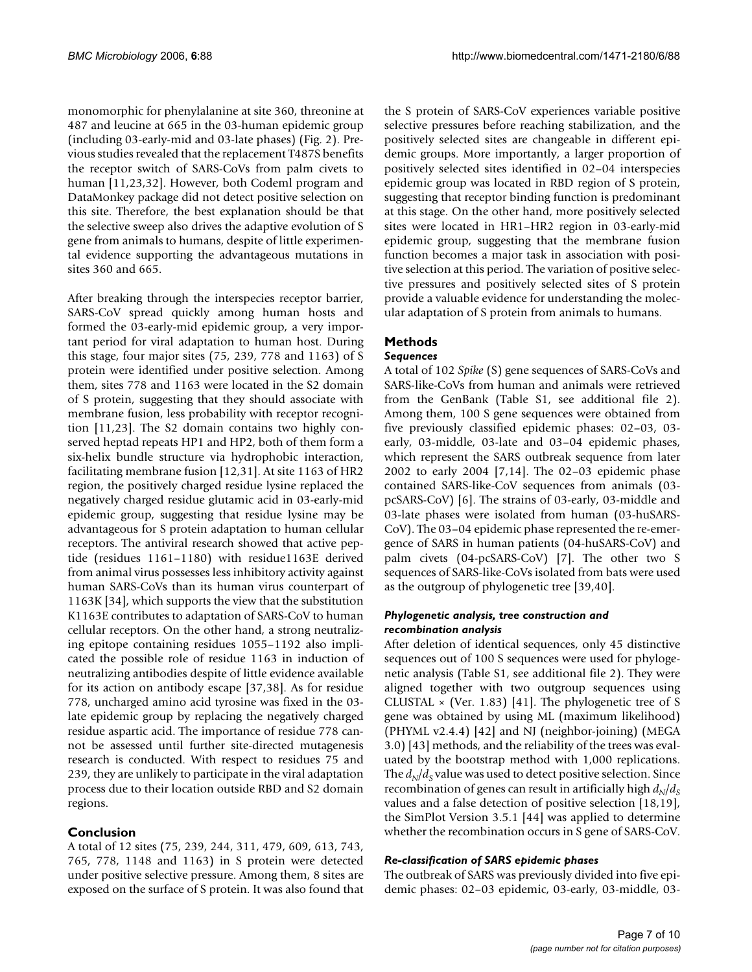monomorphic for phenylalanine at site 360, threonine at 487 and leucine at 665 in the 03-human epidemic group (including 03-early-mid and 03-late phases) (Fig. 2). Previous studies revealed that the replacement T487S benefits the receptor switch of SARS-CoVs from palm civets to human [11,23,32]. However, both Codeml program and DataMonkey package did not detect positive selection on this site. Therefore, the best explanation should be that the selective sweep also drives the adaptive evolution of S gene from animals to humans, despite of little experimental evidence supporting the advantageous mutations in sites 360 and 665.

After breaking through the interspecies receptor barrier, SARS-CoV spread quickly among human hosts and formed the 03-early-mid epidemic group, a very important period for viral adaptation to human host. During this stage, four major sites (75, 239, 778 and 1163) of S protein were identified under positive selection. Among them, sites 778 and 1163 were located in the S2 domain of S protein, suggesting that they should associate with membrane fusion, less probability with receptor recognition [11,23]. The S2 domain contains two highly conserved heptad repeats HP1 and HP2, both of them form a six-helix bundle structure via hydrophobic interaction, facilitating membrane fusion [12,31]. At site 1163 of HR2 region, the positively charged residue lysine replaced the negatively charged residue glutamic acid in 03-early-mid epidemic group, suggesting that residue lysine may be advantageous for S protein adaptation to human cellular receptors. The antiviral research showed that active peptide (residues 1161–1180) with residue1163E derived from animal virus possesses less inhibitory activity against human SARS-CoVs than its human virus counterpart of 1163K [34], which supports the view that the substitution K1163E contributes to adaptation of SARS-CoV to human cellular receptors. On the other hand, a strong neutralizing epitope containing residues 1055–1192 also implicated the possible role of residue 1163 in induction of neutralizing antibodies despite of little evidence available for its action on antibody escape [37,38]. As for residue 778, uncharged amino acid tyrosine was fixed in the 03 late epidemic group by replacing the negatively charged residue aspartic acid. The importance of residue 778 cannot be assessed until further site-directed mutagenesis research is conducted. With respect to residues 75 and 239, they are unlikely to participate in the viral adaptation process due to their location outside RBD and S2 domain regions.

# **Conclusion**

A total of 12 sites (75, 239, 244, 311, 479, 609, 613, 743, 765, 778, 1148 and 1163) in S protein were detected under positive selective pressure. Among them, 8 sites are exposed on the surface of S protein. It was also found that

the S protein of SARS-CoV experiences variable positive selective pressures before reaching stabilization, and the positively selected sites are changeable in different epidemic groups. More importantly, a larger proportion of positively selected sites identified in 02–04 interspecies epidemic group was located in RBD region of S protein, suggesting that receptor binding function is predominant at this stage. On the other hand, more positively selected sites were located in HR1–HR2 region in 03-early-mid epidemic group, suggesting that the membrane fusion function becomes a major task in association with positive selection at this period. The variation of positive selective pressures and positively selected sites of S protein provide a valuable evidence for understanding the molecular adaptation of S protein from animals to humans.

# **Methods** *Sequences*

# A total of 102 *Spike* (S) gene sequences of SARS-CoVs and SARS-like-CoVs from human and animals were retrieved from the GenBank (Table S1, see additional file 2). Among them, 100 S gene sequences were obtained from five previously classified epidemic phases: 02–03, 03 early, 03-middle, 03-late and 03–04 epidemic phases, which represent the SARS outbreak sequence from later 2002 to early 2004 [7,14]. The 02–03 epidemic phase contained SARS-like-CoV sequences from animals (03 pcSARS-CoV) [6]. The strains of 03-early, 03-middle and 03-late phases were isolated from human (03-huSARS-CoV). The 03–04 epidemic phase represented the re-emergence of SARS in human patients (04-huSARS-CoV) and palm civets (04-pcSARS-CoV) [7]. The other two S sequences of SARS-like-CoVs isolated from bats were used as the outgroup of phylogenetic tree [39,40].

#### *Phylogenetic analysis, tree construction and recombination analysis*

After deletion of identical sequences, only 45 distinctive sequences out of 100 S sequences were used for phylogenetic analysis (Table S1, see additional file 2). They were aligned together with two outgroup sequences using CLUSTAL  $\times$  (Ver. 1.83) [41]. The phylogenetic tree of S gene was obtained by using ML (maximum likelihood) (PHYML v2.4.4) [42] and NJ (neighbor-joining) (MEGA 3.0) [43] methods, and the reliability of the trees was evaluated by the bootstrap method with 1,000 replications. The  $d_N/d_S$  value was used to detect positive selection. Since recombination of genes can result in artificially high  $d_N/d_S$ values and a false detection of positive selection [18,19], the SimPlot Version 3.5.1 [44] was applied to determine whether the recombination occurs in S gene of SARS-CoV.

# *Re-classification of SARS epidemic phases*

The outbreak of SARS was previously divided into five epidemic phases: 02–03 epidemic, 03-early, 03-middle, 03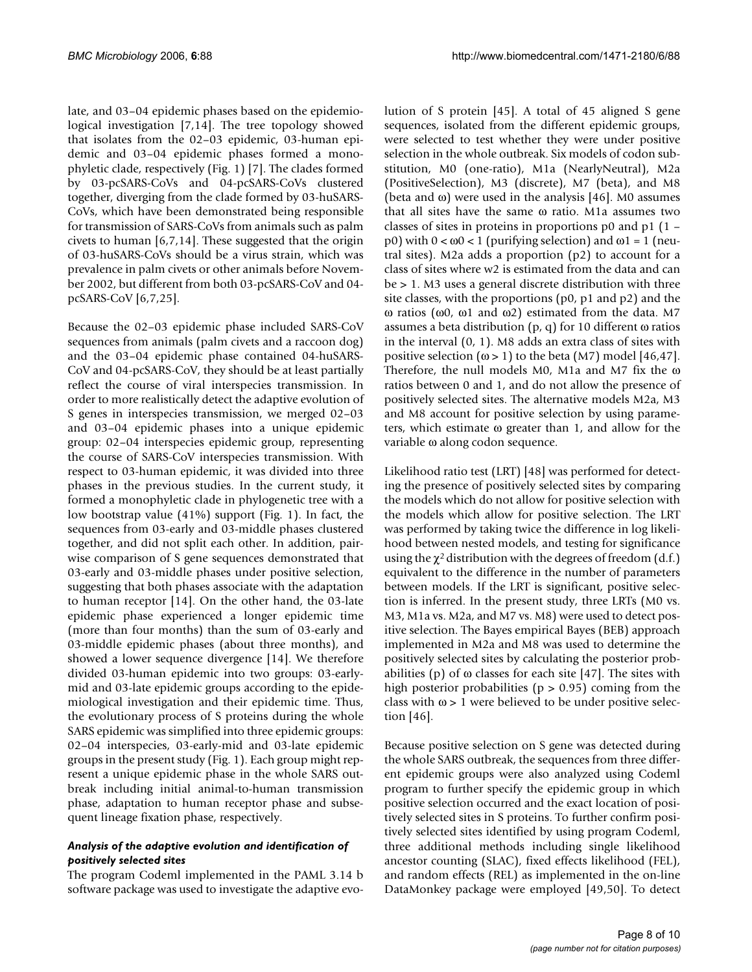late, and 03–04 epidemic phases based on the epidemiological investigation [7,14]. The tree topology showed that isolates from the 02–03 epidemic, 03-human epidemic and 03–04 epidemic phases formed a monophyletic clade, respectively (Fig. 1) [7]. The clades formed by 03-pcSARS-CoVs and 04-pcSARS-CoVs clustered together, diverging from the clade formed by 03-huSARS-CoVs, which have been demonstrated being responsible for transmission of SARS-CoVs from animals such as palm civets to human [6,7,14]. These suggested that the origin of 03-huSARS-CoVs should be a virus strain, which was prevalence in palm civets or other animals before November 2002, but different from both 03-pcSARS-CoV and 04 pcSARS-CoV [6,7,25].

Because the 02–03 epidemic phase included SARS-CoV sequences from animals (palm civets and a raccoon dog) and the 03–04 epidemic phase contained 04-huSARS-CoV and 04-pcSARS-CoV, they should be at least partially reflect the course of viral interspecies transmission. In order to more realistically detect the adaptive evolution of S genes in interspecies transmission, we merged 02–03 and 03–04 epidemic phases into a unique epidemic group: 02–04 interspecies epidemic group, representing the course of SARS-CoV interspecies transmission. With respect to 03-human epidemic, it was divided into three phases in the previous studies. In the current study, it formed a monophyletic clade in phylogenetic tree with a low bootstrap value (41%) support (Fig. 1). In fact, the sequences from 03-early and 03-middle phases clustered together, and did not split each other. In addition, pairwise comparison of S gene sequences demonstrated that 03-early and 03-middle phases under positive selection, suggesting that both phases associate with the adaptation to human receptor [14]. On the other hand, the 03-late epidemic phase experienced a longer epidemic time (more than four months) than the sum of 03-early and 03-middle epidemic phases (about three months), and showed a lower sequence divergence [14]. We therefore divided 03-human epidemic into two groups: 03-earlymid and 03-late epidemic groups according to the epidemiological investigation and their epidemic time. Thus, the evolutionary process of S proteins during the whole SARS epidemic was simplified into three epidemic groups: 02–04 interspecies, 03-early-mid and 03-late epidemic groups in the present study (Fig. 1). Each group might represent a unique epidemic phase in the whole SARS outbreak including initial animal-to-human transmission phase, adaptation to human receptor phase and subsequent lineage fixation phase, respectively.

# *Analysis of the adaptive evolution and identification of positively selected sites*

The program Codeml implemented in the PAML 3.14 b software package was used to investigate the adaptive evolution of S protein [45]. A total of 45 aligned S gene sequences, isolated from the different epidemic groups, were selected to test whether they were under positive selection in the whole outbreak. Six models of codon substitution, M0 (one-ratio), M1a (NearlyNeutral), M2a (PositiveSelection), M3 (discrete), M7 (beta), and M8 (beta and ω) were used in the analysis [46]. M0 assumes that all sites have the same ω ratio. M1a assumes two classes of sites in proteins in proportions p0 and p1 (1 – p0) with  $0 < ω0 < 1$  (purifying selection) and ω1 = 1 (neutral sites). M2a adds a proportion (p2) to account for a class of sites where w2 is estimated from the data and can be > 1. M3 uses a general discrete distribution with three site classes, with the proportions (p0, p1 and p2) and the ω ratios (ω0, ω1 and ω2) estimated from the data. M7 assumes a beta distribution (p, q) for 10 different ω ratios in the interval (0, 1). M8 adds an extra class of sites with positive selection  $(\omega > 1)$  to the beta (M7) model [46,47]. Therefore, the null models M0, M1a and M7 fix the ω ratios between 0 and 1, and do not allow the presence of positively selected sites. The alternative models M2a, M3 and M8 account for positive selection by using parameters, which estimate ω greater than 1, and allow for the variable ω along codon sequence.

Likelihood ratio test (LRT) [48] was performed for detecting the presence of positively selected sites by comparing the models which do not allow for positive selection with the models which allow for positive selection. The LRT was performed by taking twice the difference in log likelihood between nested models, and testing for significance using the  $\chi^2$  distribution with the degrees of freedom (d.f.) equivalent to the difference in the number of parameters between models. If the LRT is significant, positive selection is inferred. In the present study, three LRTs (M0 vs. M3, M1a vs. M2a, and M7 vs. M8) were used to detect positive selection. The Bayes empirical Bayes (BEB) approach implemented in M2a and M8 was used to determine the positively selected sites by calculating the posterior probabilities (p) of  $\omega$  classes for each site [47]. The sites with high posterior probabilities ( $p > 0.95$ ) coming from the class with  $\omega > 1$  were believed to be under positive selection [46].

Because positive selection on S gene was detected during the whole SARS outbreak, the sequences from three different epidemic groups were also analyzed using Codeml program to further specify the epidemic group in which positive selection occurred and the exact location of positively selected sites in S proteins. To further confirm positively selected sites identified by using program Codeml, three additional methods including single likelihood ancestor counting (SLAC), fixed effects likelihood (FEL), and random effects (REL) as implemented in the on-line DataMonkey package were employed [49,50]. To detect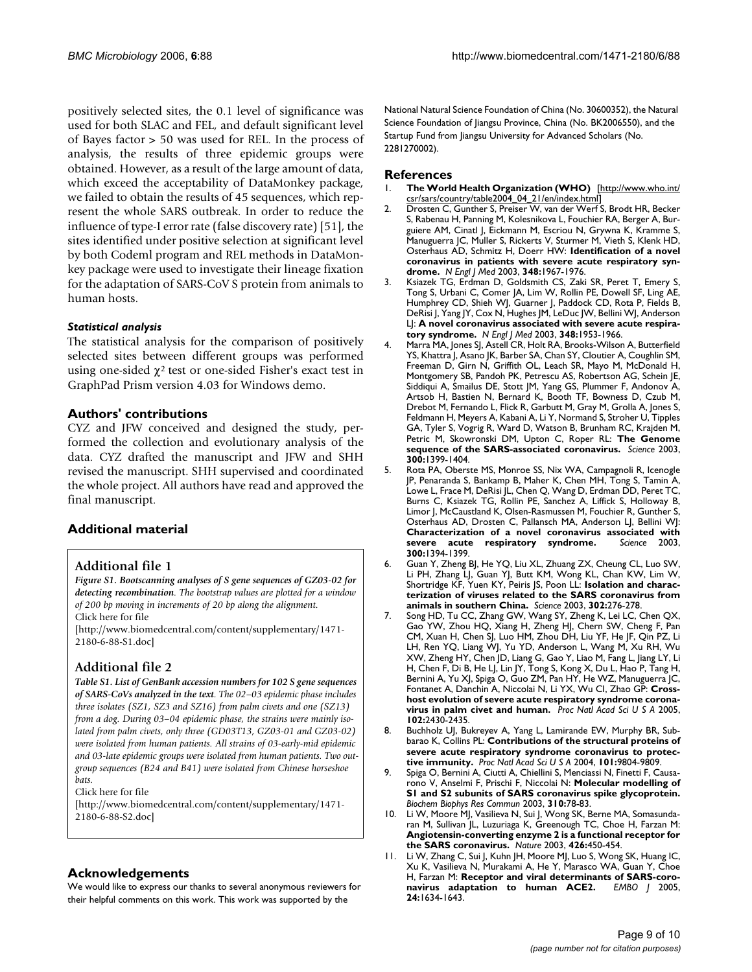positively selected sites, the 0.1 level of significance was used for both SLAC and FEL, and default significant level of Bayes factor > 50 was used for REL. In the process of analysis, the results of three epidemic groups were obtained. However, as a result of the large amount of data, which exceed the acceptability of DataMonkey package, we failed to obtain the results of 45 sequences, which represent the whole SARS outbreak. In order to reduce the influence of type-I error rate (false discovery rate) [51], the sites identified under positive selection at significant level by both Codeml program and REL methods in DataMonkey package were used to investigate their lineage fixation for the adaptation of SARS-CoV S protein from animals to human hosts.

#### *Statistical analysis*

The statistical analysis for the comparison of positively selected sites between different groups was performed using one-sided  $\chi^2$  test or one-sided Fisher's exact test in GraphPad Prism version 4.03 for Windows demo.

# **Authors' contributions**

CYZ and JFW conceived and designed the study, performed the collection and evolutionary analysis of the data. CYZ drafted the manuscript and JFW and SHH revised the manuscript. SHH supervised and coordinated the whole project. All authors have read and approved the final manuscript.

# **Additional material**

#### **Additional file 1**

*Figure S1. Bootscanning analyses of S gene sequences of GZ03-02 for detecting recombination. The bootstrap values are plotted for a window of 200 bp moving in increments of 20 bp along the alignment.* Click here for file

[\[http://www.biomedcentral.com/content/supplementary/1471-](http://www.biomedcentral.com/content/supplementary/1471-2180-6-88-S1.doc) 2180-6-88-S1.doc]

# **Additional file 2**

*Table S1. List of GenBank accession numbers for 102 S gene sequences of SARS-CoVs analyzed in the text. The 02–03 epidemic phase includes three isolates (SZ1, SZ3 and SZ16) from palm civets and one (SZ13) from a dog. During 03–04 epidemic phase, the strains were mainly isolated from palm civets, only three (GD03T13, GZ03-01 and GZ03-02) were isolated from human patients. All strains of 03-early-mid epidemic and 03-late epidemic groups were isolated from human patients. Two outgroup sequences (B24 and B41) were isolated from Chinese horseshoe bats.*

Click here for file

[\[http://www.biomedcentral.com/content/supplementary/1471-](http://www.biomedcentral.com/content/supplementary/1471-2180-6-88-S2.doc) 2180-6-88-S2.doc]

#### **Acknowledgements**

We would like to express our thanks to several anonymous reviewers for their helpful comments on this work. This work was supported by the

National Natural Science Foundation of China (No. 30600352), the Natural Science Foundation of Jiangsu Province, China (No. BK2006550), and the Startup Fund from Jiangsu University for Advanced Scholars (No. 2281270002).

#### **References**

- 1. **The World Health Organization (WHO)** [[http://www.who.int/](http://www.who.int/csr/sars/country/table2004_04_21/en/index.html) [csr/sars/country/table2004\\_04\\_21/en/index.html](http://www.who.int/csr/sars/country/table2004_04_21/en/index.html)]
- 2. Drosten C, Gunther S, Preiser W, van der Werf S, Brodt HR, Becker S, Rabenau H, Panning M, Kolesnikova L, Fouchier RA, Berger A, Burguiere AM, Cinatl J, Eickmann M, Escriou N, Grywna K, Kramme S, Manuguerra JC, Muller S, Rickerts V, Sturmer M, Vieth S, Klenk HD, Osterhaus AD, Schmitz H, Doerr HW: **[Identification of a novel](http://www.ncbi.nlm.nih.gov/entrez/query.fcgi?cmd=Retrieve&db=PubMed&dopt=Abstract&list_uids=12690091) [coronavirus in patients with severe acute respiratory syn](http://www.ncbi.nlm.nih.gov/entrez/query.fcgi?cmd=Retrieve&db=PubMed&dopt=Abstract&list_uids=12690091)[drome.](http://www.ncbi.nlm.nih.gov/entrez/query.fcgi?cmd=Retrieve&db=PubMed&dopt=Abstract&list_uids=12690091)** *N Engl J Med* 2003, **348:**1967-1976.
- 3. Ksiazek TG, Erdman D, Goldsmith CS, Zaki SR, Peret T, Emery S, Tong S, Urbani C, Comer JA, Lim W, Rollin PE, Dowell SF, Ling AE, Humphrey CD, Shieh WJ, Guarner J, Paddock CD, Rota P, Fields B, DeRisi J, Yang JY, Cox N, Hughes JM, LeDuc JW, Bellini WJ, Anderson LJ: **[A novel coronavirus associated with severe acute respira](http://www.ncbi.nlm.nih.gov/entrez/query.fcgi?cmd=Retrieve&db=PubMed&dopt=Abstract&list_uids=12690092)[tory syndrome.](http://www.ncbi.nlm.nih.gov/entrez/query.fcgi?cmd=Retrieve&db=PubMed&dopt=Abstract&list_uids=12690092)** *N Engl J Med* 2003, **348:**1953-1966.
- Marra MA, Jones SJ, Astell CR, Holt RA, Brooks-Wilson A, Butterfield YS, Khattra J, Asano JK, Barber SA, Chan SY, Cloutier A, Coughlin SM, Freeman D, Girn N, Griffith OL, Leach SR, Mayo M, McDonald H, Montgomery SB, Pandoh PK, Petrescu AS, Robertson AG, Schein JE, Siddiqui A, Smailus DE, Stott JM, Yang GS, Plummer F, Andonov A, Artsob H, Bastien N, Bernard K, Booth TF, Bowness D, Czub M, Drebot M, Fernando L, Flick R, Garbutt M, Gray M, Grolla A, Jones S, Feldmann H, Meyers A, Kabani A, Li Y, Normand S, Stroher U, Tipples GA, Tyler S, Vogrig R, Ward D, Watson B, Brunham RC, Krajden M, Petric M, Skowronski DM, Upton C, Roper RL: **[The Genome](http://www.ncbi.nlm.nih.gov/entrez/query.fcgi?cmd=Retrieve&db=PubMed&dopt=Abstract&list_uids=12730501) [sequence of the SARS-associated coronavirus.](http://www.ncbi.nlm.nih.gov/entrez/query.fcgi?cmd=Retrieve&db=PubMed&dopt=Abstract&list_uids=12730501)** *Science* 2003, **300:**1399-1404.
- 5. Rota PA, Oberste MS, Monroe SS, Nix WA, Campagnoli R, Icenogle JP, Penaranda S, Bankamp B, Maher K, Chen MH, Tong S, Tamin A, Lowe L, Frace M, DeRisi JL, Chen Q, Wang D, Erdman DD, Peret TC, Burns C, Ksiazek TG, Rollin PE, Sanchez A, Liffick S, Holloway B, Limor J, McCaustland K, Olsen-Rasmussen M, Fouchier R, Gunther S, Osterhaus AD, Drosten C, Pallansch MA, Anderson LJ, Bellini WJ: **[Characterization of a novel coronavirus associated with](http://www.ncbi.nlm.nih.gov/entrez/query.fcgi?cmd=Retrieve&db=PubMed&dopt=Abstract&list_uids=12730500)** [severe acute respiratory syndrome.](http://www.ncbi.nlm.nih.gov/entrez/query.fcgi?cmd=Retrieve&db=PubMed&dopt=Abstract&list_uids=12730500) **300:**1394-1399.
- 6. Guan Y, Zheng BJ, He YQ, Liu XL, Zhuang ZX, Cheung CL, Luo SW, Li PH, Zhang LJ, Guan YJ, Butt KM, Wong KL, Chan KW, Lim W, Shortridge KF, Yuen KY, Peiris JS, Poon LL: **[Isolation and charac](http://www.ncbi.nlm.nih.gov/entrez/query.fcgi?cmd=Retrieve&db=PubMed&dopt=Abstract&list_uids=12958366)[terization of viruses related to the SARS coronavirus from](http://www.ncbi.nlm.nih.gov/entrez/query.fcgi?cmd=Retrieve&db=PubMed&dopt=Abstract&list_uids=12958366) [animals in southern China.](http://www.ncbi.nlm.nih.gov/entrez/query.fcgi?cmd=Retrieve&db=PubMed&dopt=Abstract&list_uids=12958366)** *Science* 2003, **302:**276-278.
- 7. Song HD, Tu CC, Zhang GW, Wang SY, Zheng K, Lei LC, Chen QX, Gao YW, Zhou HQ, Xiang H, Zheng HJ, Chern SW, Cheng F, Pan CM, Xuan H, Chen SJ, Luo HM, Zhou DH, Liu YF, He JF, Qin PZ, Li LH, Ren YQ, Liang WJ, Yu YD, Anderson L, Wang M, Xu RH, Wu XW, Zheng HY, Chen JD, Liang G, Gao Y, Liao M, Fang L, Jiang LY, Li H, Chen F, Di B, He LJ, Lin JY, Tong S, Kong X, Du L, Hao P, Tang H, Bernini A, Yu XJ, Spiga O, Guo ZM, Pan HY, He WZ, Manuguerra JC, Fontanet A, Danchin A, Niccolai N, Li YX, Wu CI, Zhao GP: **[Cross](http://www.ncbi.nlm.nih.gov/entrez/query.fcgi?cmd=Retrieve&db=PubMed&dopt=Abstract&list_uids=15695582)[host evolution of severe acute respiratory syndrome corona](http://www.ncbi.nlm.nih.gov/entrez/query.fcgi?cmd=Retrieve&db=PubMed&dopt=Abstract&list_uids=15695582)[virus in palm civet and human.](http://www.ncbi.nlm.nih.gov/entrez/query.fcgi?cmd=Retrieve&db=PubMed&dopt=Abstract&list_uids=15695582)** *Proc Natl Acad Sci U S A* 2005, **102:**2430-2435.
- 8. Buchholz UJ, Bukreyev A, Yang L, Lamirande EW, Murphy BR, Subbarao K, Collins PL: **[Contributions of the structural proteins of](http://www.ncbi.nlm.nih.gov/entrez/query.fcgi?cmd=Retrieve&db=PubMed&dopt=Abstract&list_uids=15210961) [severe acute respiratory syndrome coronavirus to protec](http://www.ncbi.nlm.nih.gov/entrez/query.fcgi?cmd=Retrieve&db=PubMed&dopt=Abstract&list_uids=15210961)[tive immunity.](http://www.ncbi.nlm.nih.gov/entrez/query.fcgi?cmd=Retrieve&db=PubMed&dopt=Abstract&list_uids=15210961)** *Proc Natl Acad Sci U S A* 2004, **101:**9804-9809.
- 9. Spiga O, Bernini A, Ciutti A, Chiellini S, Menciassi N, Finetti F, Causarono V, Anselmi F, Prischi F, Niccolai N: **[Molecular modelling of](http://www.ncbi.nlm.nih.gov/entrez/query.fcgi?cmd=Retrieve&db=PubMed&dopt=Abstract&list_uids=14511651) [S1 and S2 subunits of SARS coronavirus spike glycoprotein.](http://www.ncbi.nlm.nih.gov/entrez/query.fcgi?cmd=Retrieve&db=PubMed&dopt=Abstract&list_uids=14511651)** *Biochem Biophys Res Commun* 2003, **310:**78-83.
- 10. Li W, Moore MJ, Vasilieva N, Sui J, Wong SK, Berne MA, Somasundaran M, Sullivan JL, Luzuriaga K, Greenough TC, Choe H, Farzan M: **[Angiotensin-converting enzyme 2 is a functional receptor for](http://www.ncbi.nlm.nih.gov/entrez/query.fcgi?cmd=Retrieve&db=PubMed&dopt=Abstract&list_uids=14647384) [the SARS coronavirus.](http://www.ncbi.nlm.nih.gov/entrez/query.fcgi?cmd=Retrieve&db=PubMed&dopt=Abstract&list_uids=14647384)** *Nature* 2003, **426:**450-454.
- 11. Li W, Zhang C, Sui J, Kuhn JH, Moore MJ, Luo S, Wong SK, Huang IC, Xu K, Vasilieva N, Murakami A, He Y, Marasco WA, Guan Y, Choe H, Farzan M: **[Receptor and viral determinants of SARS-coro](http://www.ncbi.nlm.nih.gov/entrez/query.fcgi?cmd=Retrieve&db=PubMed&dopt=Abstract&list_uids=15791205)**[navirus adaptation to human ACE2.](http://www.ncbi.nlm.nih.gov/entrez/query.fcgi?cmd=Retrieve&db=PubMed&dopt=Abstract&list_uids=15791205) **24:**1634-1643.